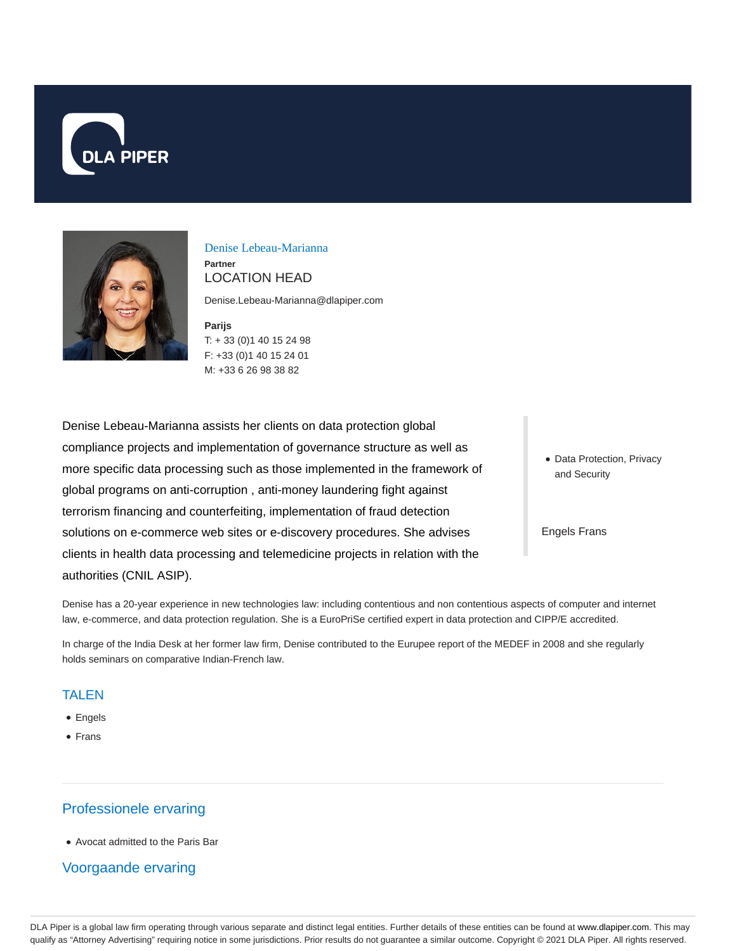



Denise Lebeau-Marianna

**Partner** LOCATION HEAD

Denise.Lebeau-Marianna@dlapiper.com

**Parijs** T: + 33 (0)1 40 15 24 98 F: +33 (0)1 40 15 24 01 M: +33 6 26 98 38 82

Denise Lebeau-Marianna assists her clients on data protection global compliance projects and implementation of governance structure as well as more specific data processing such as those implemented in the framework of global programs on anti-corruption , anti-money laundering fight against terrorism financing and counterfeiting, implementation of fraud detection solutions on e-commerce web sites or e-discovery procedures. She advises clients in health data processing and telemedicine projects in relation with the authorities (CNIL ASIP).

• Data Protection, Privacy and Security

Engels Frans

Denise has a 20-year experience in new technologies law: including contentious and non contentious aspects of computer and internet law, e-commerce, and data protection regulation. She is a EuroPriSe certified expert in data protection and CIPP/E accredited.

In charge of the India Desk at her former law firm, Denise contributed to the Eurupee report of the MEDEF in 2008 and she regularly holds seminars on comparative Indian-French law.

#### TALEN

- Engels
- Frans

# Professionele ervaring

Avocat admitted to the Paris Bar

## Voorgaande ervaring

DLA Piper is a global law firm operating through various separate and distinct legal entities. Further details of these entities can be found at www.dlapiper.com. This may qualify as "Attorney Advertising" requiring notice in some jurisdictions. Prior results do not guarantee a similar outcome. Copyright © 2021 DLA Piper. All rights reserved.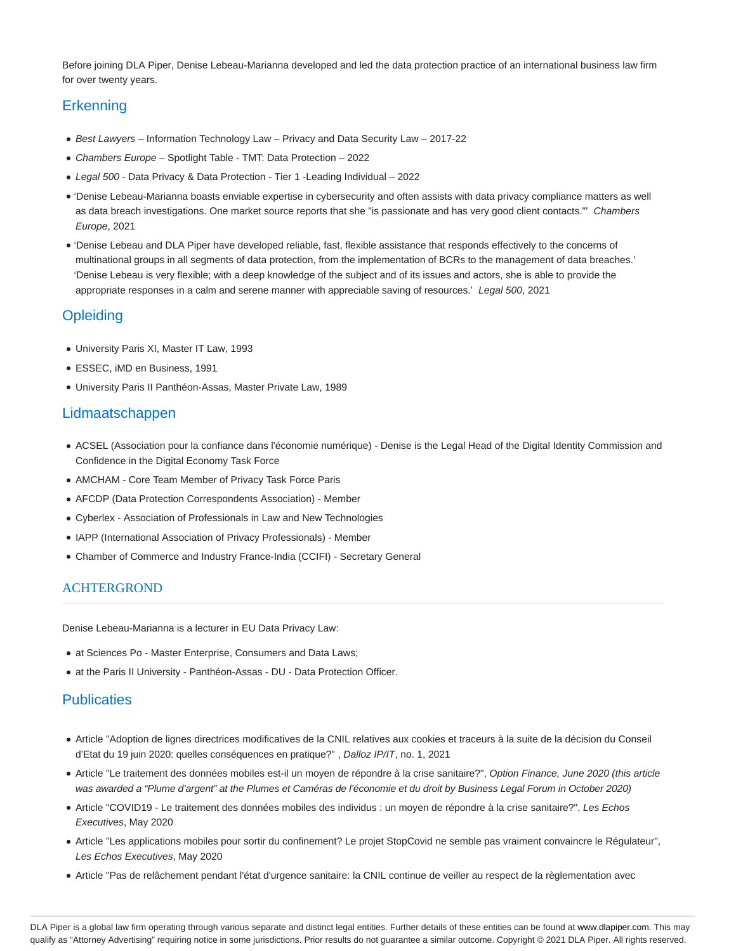Before joining DLA Piper, Denise Lebeau-Marianna developed and led the data protection practice of an international business law firm for over twenty years.

# **Erkenning**

- **Best Lawyers Information Technology Law Privacy and Data Security Law 2017-22**
- Chambers Europe Spotlight Table TMT: Data Protection 2022
- Legal 500 Data Privacy & Data Protection Tier 1 -Leading Individual 2022
- 'Denise Lebeau-Marianna boasts enviable expertise in cybersecurity and often assists with data privacy compliance matters as well as data breach investigations. One market source reports that she "is passionate and has very good client contacts." Chambers Europe, 2021
- 'Denise Lebeau and DLA Piper have developed reliable, fast, flexible assistance that responds effectively to the concerns of multinational groups in all segments of data protection, from the implementation of BCRs to the management of data breaches.' 'Denise Lebeau is very flexible; with a deep knowledge of the subject and of its issues and actors, she is able to provide the appropriate responses in a calm and serene manner with appreciable saving of resources.' Legal 500, 2021

### **Opleiding**

- University Paris XI, Master IT Law, 1993
- ESSEC, iMD en Business, 1991
- University Paris II Panthéon-Assas, Master Private Law, 1989

### Lidmaatschappen

- ACSEL (Association pour la confiance dans l'économie numérique) Denise is the Legal Head of the Digital Identity Commission and Confidence in the Digital Economy Task Force
- AMCHAM Core Team Member of Privacy Task Force Paris
- AFCDP (Data Protection Correspondents Association) Member
- Cyberlex Association of Professionals in Law and New Technologies
- IAPP (International Association of Privacy Professionals) Member
- Chamber of Commerce and Industry France-India (CCIFI) Secretary General

#### ACHTERGROND

Denise Lebeau-Marianna is a lecturer in EU Data Privacy Law:

- at Sciences Po Master Enterprise, Consumers and Data Laws;
- at the Paris II University Panthéon-Assas DU Data Protection Officer.

## **Publicaties**

- Article "Adoption de lignes directrices modificatives de la CNIL relatives aux cookies et traceurs à la suite de la décision du Conseil d'Etat du 19 juin 2020: quelles conséquences en pratique?" , Dalloz IP/IT, no. 1, 2021
- Article "Le traitement des données mobiles est-il un moyen de répondre à la crise sanitaire?", Option Finance, June 2020 (this article was awarded a "Plume d'argent" at the Plumes et Caméras de l'économie et du droit by Business Legal Forum in October 2020)
- Article "COVID19 Le traitement des données mobiles des individus : un moyen de répondre à la crise sanitaire?", Les Echos Executives, May 2020
- Article "Les applications mobiles pour sortir du confinement? Le projet StopCovid ne semble pas vraiment convaincre le Régulateur", Les Echos Executives, May 2020
- Article "Pas de relâchement pendant l'état d'urgence sanitaire: la CNIL continue de veiller au respect de la règlementation avec